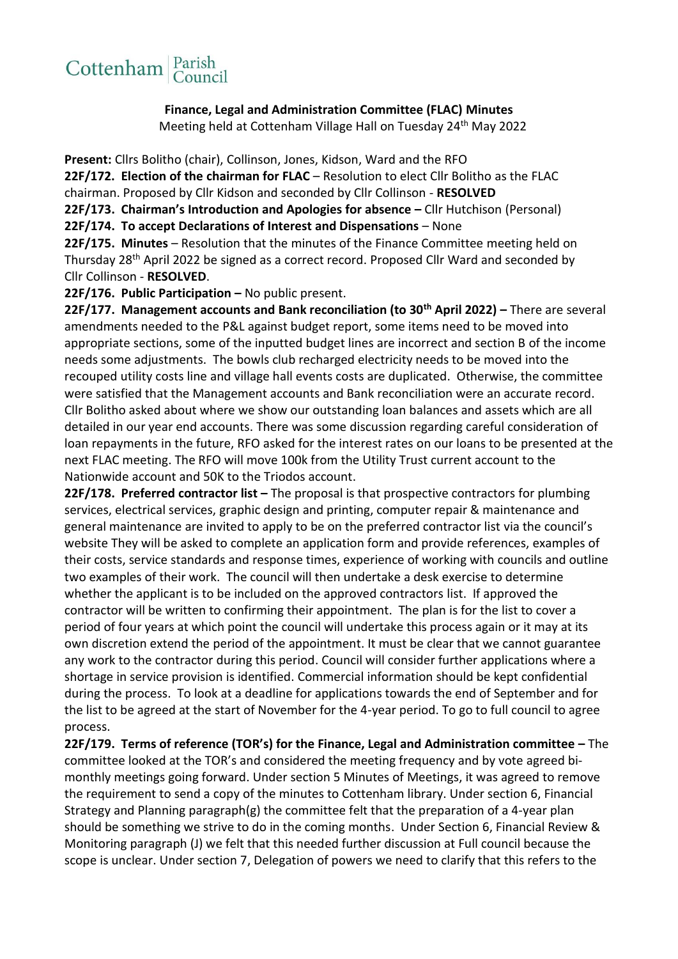## Cottenham Parish

**Finance, Legal and Administration Committee (FLAC) Minutes** Meeting held at Cottenham Village Hall on Tuesday 24<sup>th</sup> May 2022

**Present:** Cllrs Bolitho (chair), Collinson, Jones, Kidson, Ward and the RFO **22F/172. Election of the chairman for FLAC** – Resolution to elect Cllr Bolitho as the FLAC chairman. Proposed by Cllr Kidson and seconded by Cllr Collinson - **RESOLVED**

**22F/173. Chairman's Introduction and Apologies for absence –** Cllr Hutchison (Personal)

**22F/174. To accept Declarations of Interest and Dispensations** – None

**22F/175. Minutes** – Resolution that the minutes of the Finance Committee meeting held on Thursday 28<sup>th</sup> April 2022 be signed as a correct record. Proposed Cllr Ward and seconded by Cllr Collinson - **RESOLVED**.

**22F/176. Public Participation –** No public present.

**22F/177. Management accounts and Bank reconciliation (to 30th April 2022) –** There are several amendments needed to the P&L against budget report, some items need to be moved into appropriate sections, some of the inputted budget lines are incorrect and section B of the income needs some adjustments. The bowls club recharged electricity needs to be moved into the recouped utility costs line and village hall events costs are duplicated.Otherwise, the committee were satisfied that the Management accounts and Bank reconciliation were an accurate record. Cllr Bolitho asked about where we show our outstanding loan balances and assets which are all detailed in our year end accounts. There was some discussion regarding careful consideration of loan repayments in the future, RFO asked for the interest rates on our loans to be presented at the next FLAC meeting. The RFO will move 100k from the Utility Trust current account to the Nationwide account and 50K to the Triodos account.

**22F/178. Preferred contractor list –** The proposal is that prospective contractors for plumbing services, electrical services, graphic design and printing, computer repair & maintenance and general maintenance are invited to apply to be on the preferred contractor list via the council's website They will be asked to complete an application form and provide references, examples of their costs, service standards and response times, experience of working with councils and outline two examples of their work. The council will then undertake a desk exercise to determine whether the applicant is to be included on the approved contractors list. If approved the contractor will be written to confirming their appointment. The plan is for the list to cover a period of four years at which point the council will undertake this process again or it may at its own discretion extend the period of the appointment. It must be clear that we cannot guarantee any work to the contractor during this period. Council will consider further applications where a shortage in service provision is identified. Commercial information should be kept confidential during the process. To look at a deadline for applications towards the end of September and for the list to be agreed at the start of November for the 4-year period. To go to full council to agree process.

**22F/179. Terms of reference (TOR's) for the Finance, Legal and Administration committee –** The committee looked at the TOR's and considered the meeting frequency and by vote agreed bimonthly meetings going forward. Under section 5 Minutes of Meetings, it was agreed to remove the requirement to send a copy of the minutes to Cottenham library. Under section 6, Financial Strategy and Planning paragraph(g) the committee felt that the preparation of a 4-year plan should be something we strive to do in the coming months. Under Section 6, Financial Review & Monitoring paragraph (J) we felt that this needed further discussion at Full council because the scope is unclear. Under section 7, Delegation of powers we need to clarify that this refers to the